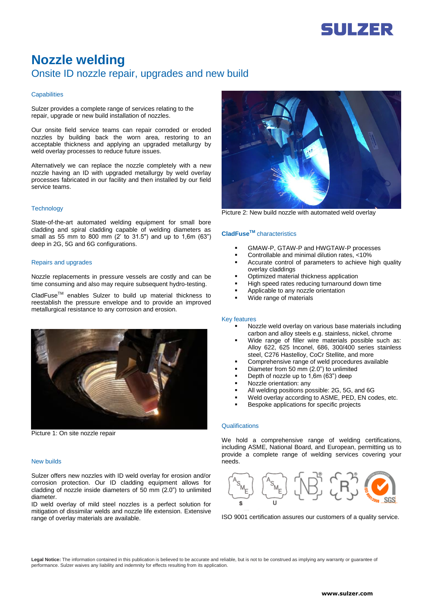

# **Nozzle welding** Onsite ID nozzle repair, upgrades and new build

#### **Capabilities**

Sulzer provides a complete range of services relating to the repair, upgrade or new build installation of nozzles.

Our onsite field service teams can repair corroded or eroded nozzles by building back the worn area, restoring to an acceptable thickness and applying an upgraded metallurgy by weld overlay processes to reduce future issues.

Alternatively we can replace the nozzle completely with a new nozzle having an ID with upgraded metallurgy by weld overlay processes fabricated in our facility and then installed by our field service teams.

### **Technology**

State-of-the-art automated welding equipment for small bore cladding and spiral cladding capable of welding diameters as small as 55 mm to 800 mm (2' to 31.5") and up to 1,6m (63") deep in 2G, 5G and 6G configurations.

#### Repairs and upgrades

Nozzle replacements in pressure vessels are costly and can be time consuming and also may require subsequent hydro-testing.

CladFuseTM enables Sulzer to build up material thickness to reestablish the pressure envelope and to provide an improved metallurgical resistance to any corrosion and erosion.



Picture 1: On site nozzle repair

#### New builds

Sulzer offers new nozzles with ID weld overlay for erosion and/or corrosion protection. Our ID cladding equipment allows for cladding of nozzle inside diameters of 50 mm (2.0") to unlimited diameter.

ID weld overlay of mild steel nozzles is a perfect solution for mitigation of dissimilar welds and nozzle life extension. Extensive range of overlay materials are available.



Picture 2: New build nozzle with automated weld overlay

## **CladFuseTM** characteristics

- GMAW-P, GTAW-P and HWGTAW-P processes
- Controllable and minimal dilution rates, <10%
- Accurate control of parameters to achieve high quality overlay claddings
- Optimized material thickness application
- High speed rates reducing turnaround down time
- Applicable to any nozzle orientation
- Wide range of materials

#### Key features

- Nozzle weld overlay on various base materials including carbon and alloy steels e.g. stainless, nickel, chrome
- Wide range of filler wire materials possible such as: Alloy 622, 625 Inconel, 686, 300/400 series stainless steel, C276 Hastelloy, CoCr Stellite, and more
- Comprehensive range of weld procedures available
- Diameter from 50 mm (2.0") to unlimited
- Depth of nozzle up to 1,6m (63") deep
- Nozzle orientation: any
- All welding positions possible: 2G, 5G, and 6G
- Weld overlay according to ASME, PED, EN codes, etc.
- Bespoke applications for specific projects

# **Qualifications**

We hold a comprehensive range of welding certifications, including ASME, National Board, and European, permitting us to provide a complete range of welding services covering your needs.



ISO 9001 certification assures our customers of a quality service.

**Legal Notice:** The information contained in this publication is believed to be accurate and reliable, but is not to be construed as implying any warranty or guarantee of performance. Sulzer waives any liability and indemnity for effects resulting from its application.